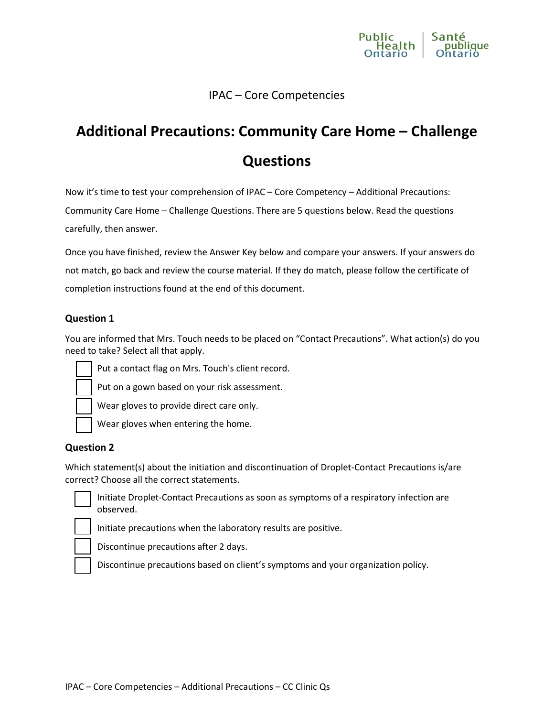

### IPAC – Core Competencies

# **Additional Precautions: Community Care Home – Challenge Questions**

Now it's time to test your comprehension of IPAC – Core Competency – Additional Precautions: Community Care Home – Challenge Questions. There are 5 questions below. Read the questions carefully, then answer.

Once you have finished, review the Answer Key below and compare your answers. If your answers do not match, go back and review the course material. If they do match, please follow the certificate of completion instructions found at the end of this document.

#### **Question 1**

You are informed that Mrs. Touch needs to be placed on "Contact Precautions". What action(s) do you need to take? Select all that apply.



Put a contact flag on Mrs. Touch's client record.

Put on a gown based on your risk assessment.



Wear gloves to provide direct care only.

Wear gloves when entering the home.

#### **Question 2**

Which statement(s) about the initiation and discontinuation of Droplet-Contact Precautions is/are correct? Choose all the correct statements.



 Initiate Droplet-Contact Precautions as soon as symptoms of a respiratory infection are observed.

Initiate precautions when the laboratory results are positive.

Discontinue precautions after 2 days.

Discontinue precautions based on client's symptoms and your organization policy.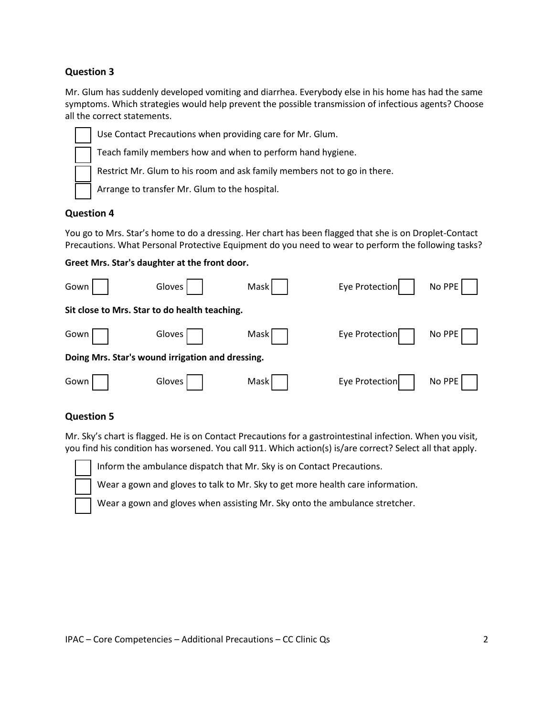#### **Question 3**

Mr. Glum has suddenly developed vomiting and diarrhea. Everybody else in his home has had the same symptoms. Which strategies would help prevent the possible transmission of infectious agents? Choose all the correct statements.



Use Contact Precautions when providing care for Mr. Glum.

Teach family members how and when to perform hand hygiene.

Restrict Mr. Glum to his room and ask family members not to go in there.

Arrange to transfer Mr. Glum to the hospital.

#### **Question 4**

You go to Mrs. Star's home to do a dressing. Her chart has been flagged that she is on Droplet-Contact Precautions. What Personal Protective Equipment do you need to wear to perform the following tasks?

| Greet Mrs. Star's daughter at the front door. |  |  |  |  |  |
|-----------------------------------------------|--|--|--|--|--|
|-----------------------------------------------|--|--|--|--|--|

| Gown                                             | Gloves <sup>1</sup>                           | Mask | Eye Protection | No PPE |  |  |  |  |
|--------------------------------------------------|-----------------------------------------------|------|----------------|--------|--|--|--|--|
|                                                  | Sit close to Mrs. Star to do health teaching. |      |                |        |  |  |  |  |
| Gown                                             | Gloves                                        | Mask | Eye Protection | No PPE |  |  |  |  |
| Doing Mrs. Star's wound irrigation and dressing. |                                               |      |                |        |  |  |  |  |
| Gown                                             | Gloves                                        | Mask | Eye Protection | No PPE |  |  |  |  |

#### **Question 5**

Mr. Sky's chart is flagged. He is on Contact Precautions for a gastrointestinal infection. When you visit, you find his condition has worsened. You call 911. Which action(s) is/are correct? Select all that apply.



Inform the ambulance dispatch that Mr. Sky is on Contact Precautions.

Wear a gown and gloves to talk to Mr. Sky to get more health care information.

Wear a gown and gloves when assisting Mr. Sky onto the ambulance stretcher.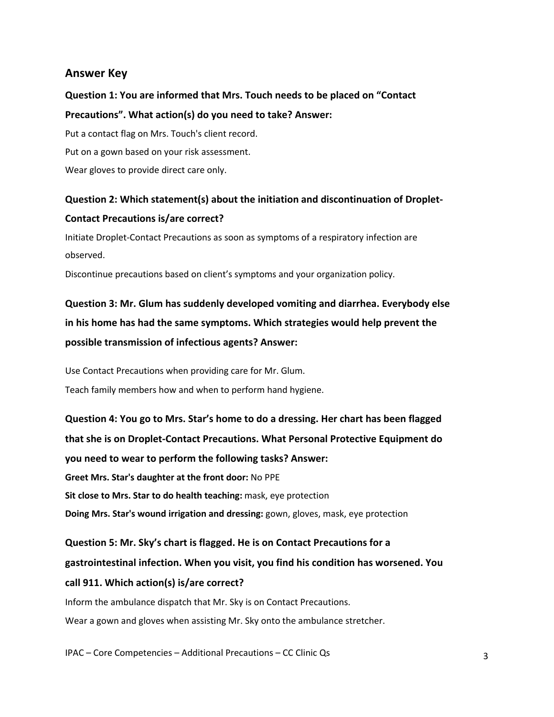### **Answer Key**

# **Question 1: You are informed that Mrs. Touch needs to be placed on "Contact Precautions". What action(s) do you need to take? Answer:**

Put a contact flag on Mrs. Touch's client record. Put on a gown based on your risk assessment. Wear gloves to provide direct care only.

# **Question 2: Which statement(s) about the initiation and discontinuation of Droplet-Contact Precautions is/are correct?**

Initiate Droplet-Contact Precautions as soon as symptoms of a respiratory infection are observed.

Discontinue precautions based on client's symptoms and your organization policy.

# **Question 3: Mr. Glum has suddenly developed vomiting and diarrhea. Everybody else in his home has had the same symptoms. Which strategies would help prevent the possible transmission of infectious agents? Answer:**

Use Contact Precautions when providing care for Mr. Glum. Teach family members how and when to perform hand hygiene.

**Question 4: You go to Mrs. Star's home to do a dressing. Her chart has been flagged that she is on Droplet-Contact Precautions. What Personal Protective Equipment do you need to wear to perform the following tasks? Answer: Greet Mrs. Star's daughter at the front door:** No PPE **Sit close to Mrs. Star to do health teaching:** mask, eye protection **Doing Mrs. Star's wound irrigation and dressing:** gown, gloves, mask, eye protection

**Question 5: Mr. Sky's chart is flagged. He is on Contact Precautions for a gastrointestinal infection. When you visit, you find his condition has worsened. You call 911. Which action(s) is/are correct?** Inform the ambulance dispatch that Mr. Sky is on Contact Precautions.

Wear a gown and gloves when assisting Mr. Sky onto the ambulance stretcher.

IPAC – Core Competencies – Additional Precautions – CC Clinic Qs